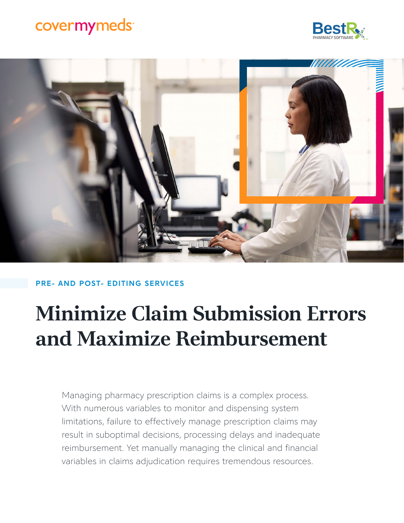## covermymeds<sup>®</sup>





### PRE- AND POST- EDITING SERVICES

# **Minimize Claim Submission Errors and Maximize Reimbursement**

Managing pharmacy prescription claims is a complex process. With numerous variables to monitor and dispensing system limitations, failure to effectively manage prescription claims may result in suboptimal decisions, processing delays and inadequate reimbursement. Yet manually managing the clinical and financial variables in claims adjudication requires tremendous resources.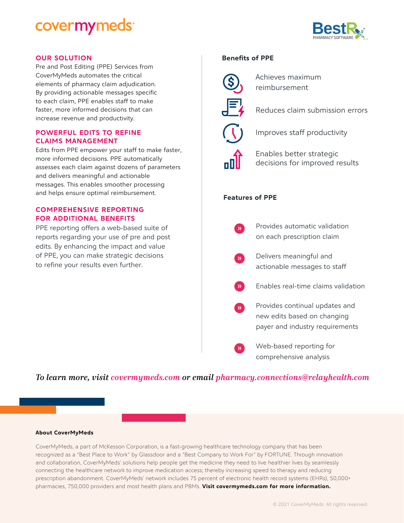### covermymeds<sup>®</sup>



### OUR SOLUTION Benefits of PPE

Pre and Post Editing (PPE) Services from CoverMyMeds automates the critical elements of pharmacy claim adjudication. By providing actionable messages specific to each claim, PPE enables staff to make faster, more informed decisions that can increase revenue and productivity.

### POWERFUL EDITS TO REFINE CLAIMS MANAGEMENT

Edits from PPE empower your staff to make faster, more informed decisions. PPE automatically assesses each claim against dozens of parameters and delivers meaningful and actionable messages. This enables smoother processing and helps ensure optimal reimbursement.

### COMPREHENSIVE REPORTING FOR ADDITIONAL BENEFITS

PPE reporting offers a web-based suite of reports regarding your use of pre and post edits. By enhancing the impact and value of PPE, you can make strategic decisions to refine your results even further.



Achieves maximum reimbursement



Improves staff productivity

Enables better strategic decisions for improved results

### Features of PPE

Provides automatic validation on each prescription claim

Delivers meaningful and actionable messages to staff

Enables real-time claims validation

Provides continual updates and new edits based on changing payer and industry requirements

Web-based reporting for comprehensive analysis

### *To learn more, visit [covermymeds.com](http://covermymeds.com) or email [pharmacy.connections@relayhealth.com](mailto:pharmacy.connections%40relayhealth.com?subject=)*

#### About CoverMyMeds

CoverMyMeds, a part of McKesson Corporation, is a fast-growing healthcare technology company that has been recognized as a "Best Place to Work" by Glassdoor and a "Best Company to Work For" by FORTUNE. Through innovation and collaboration, CoverMyMeds' solutions help people get the medicine they need to live healthier lives by seamlessly connecting the healthcare network to improve medication access; thereby increasing speed to therapy and reducing prescription abandonment. CoverMyMeds' network includes 75 percent of electronic health record systems (EHRs), 50,000+ pharmacies, 750,000 providers and most health plans and PBMs. Visit covermymeds.com for more information.